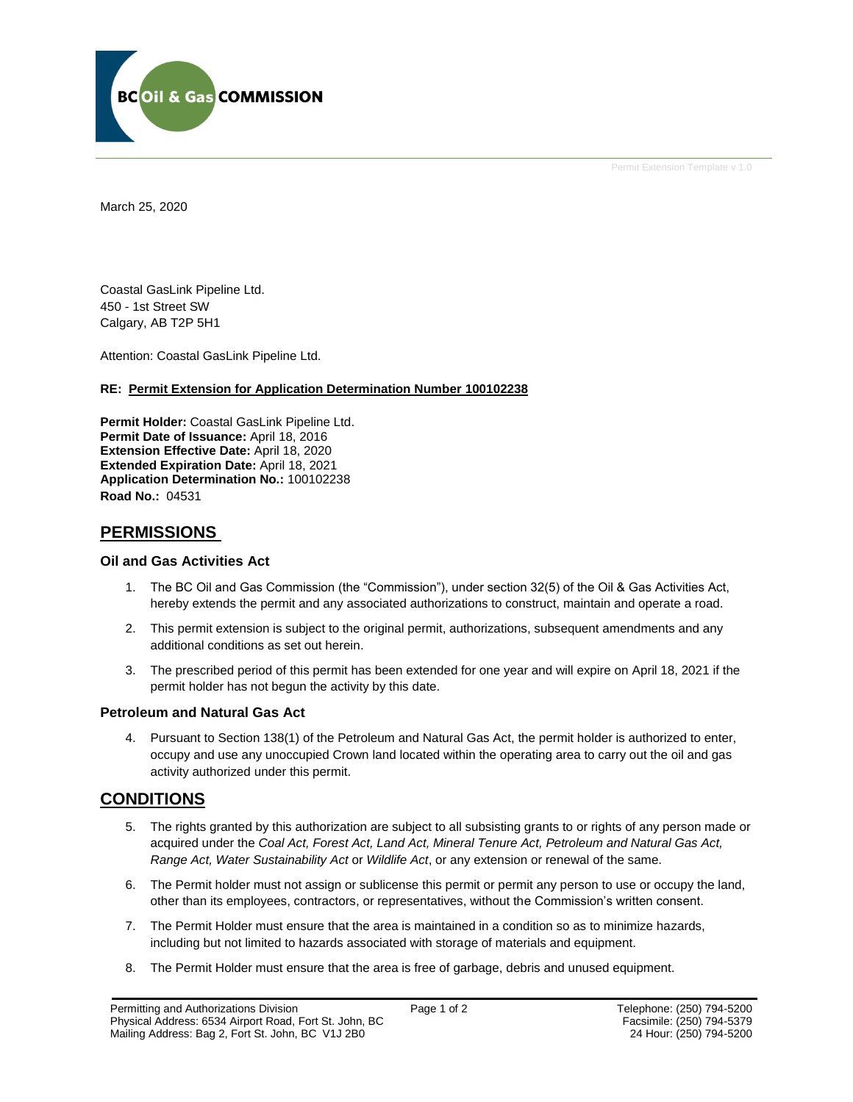

Permit Extension Template v 1.0

March 25, 2020

Coastal GasLink Pipeline Ltd. 450 - 1st Street SW Calgary, AB T2P 5H1

Attention: Coastal GasLink Pipeline Ltd.

#### **RE: Permit Extension for Application Determination Number 100102238**

**Permit Holder:** Coastal GasLink Pipeline Ltd. **Permit Date of Issuance:** April 18, 2016 **Extension Effective Date:** April 18, 2020 **Extended Expiration Date:** April 18, 2021 **Application Determination No.:** 100102238 **Road No.:** 04531

# **PERMISSIONS**

#### **Oil and Gas Activities Act**

- 1. The BC Oil and Gas Commission (the "Commission"), under section 32(5) of the Oil & Gas Activities Act, hereby extends the permit and any associated authorizations to construct, maintain and operate a road.
- 2. This permit extension is subject to the original permit, authorizations, subsequent amendments and any additional conditions as set out herein.
- 3. The prescribed period of this permit has been extended for one year and will expire on April 18, 2021 if the permit holder has not begun the activity by this date.

#### **Petroleum and Natural Gas Act**

4. Pursuant to Section 138(1) of the Petroleum and Natural Gas Act, the permit holder is authorized to enter, occupy and use any unoccupied Crown land located within the operating area to carry out the oil and gas activity authorized under this permit.

# **CONDITIONS**

- 5. The rights granted by this authorization are subject to all subsisting grants to or rights of any person made or acquired under the *Coal Act, Forest Act, Land Act, Mineral Tenure Act, Petroleum and Natural Gas Act, Range Act, Water Sustainability Act* or *Wildlife Act*, or any extension or renewal of the same.
- 6. The Permit holder must not assign or sublicense this permit or permit any person to use or occupy the land, other than its employees, contractors, or representatives, without the Commission's written consent.
- 7. The Permit Holder must ensure that the area is maintained in a condition so as to minimize hazards, including but not limited to hazards associated with storage of materials and equipment.
- 8. The Permit Holder must ensure that the area is free of garbage, debris and unused equipment.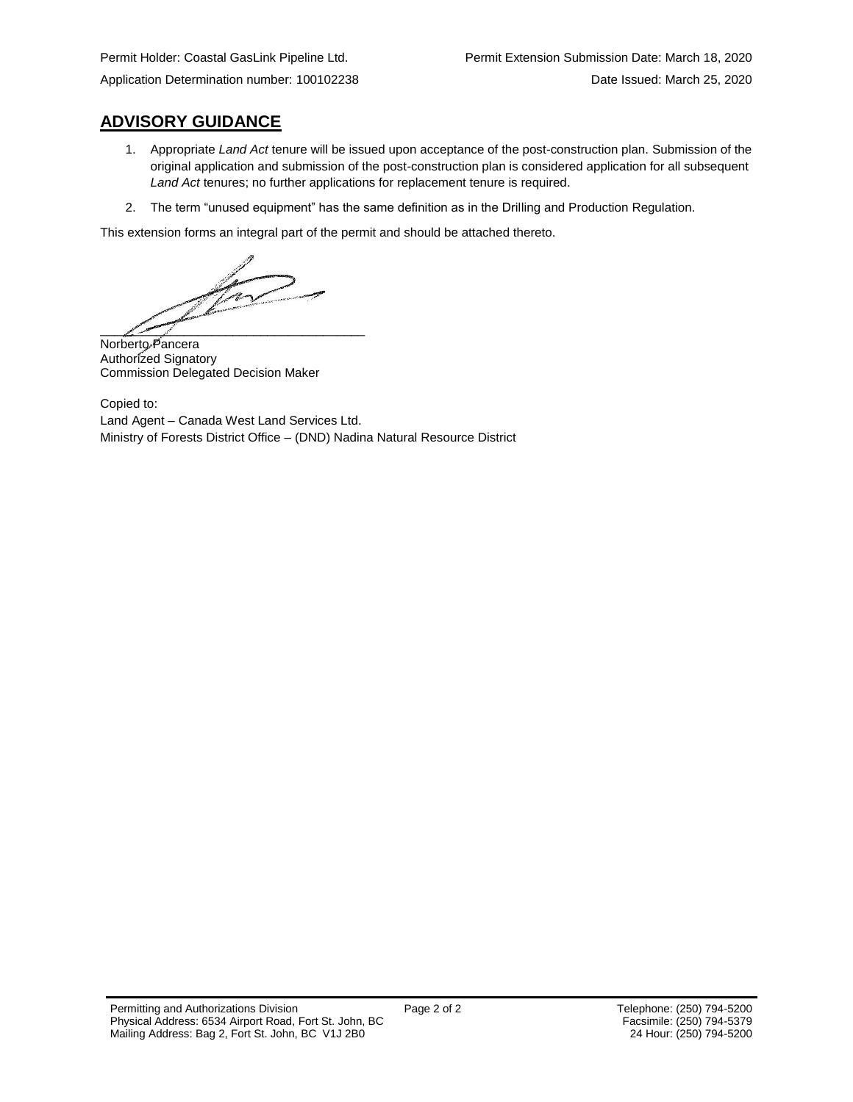**ADVISORY GUIDANCE**

- 1. Appropriate *Land Act* tenure will be issued upon acceptance of the post-construction plan. Submission of the original application and submission of the post-construction plan is considered application for all subsequent *Land Act* tenures; no further applications for replacement tenure is required.
- 2. The term "unused equipment" has the same definition as in the Drilling and Production Regulation.

This extension forms an integral part of the permit and should be attached thereto.

 $\frac{1}{2}$ 

Norberto Pancera Authorized Signatory Commission Delegated Decision Maker

Copied to: Land Agent – Canada West Land Services Ltd. Ministry of Forests District Office – (DND) Nadina Natural Resource District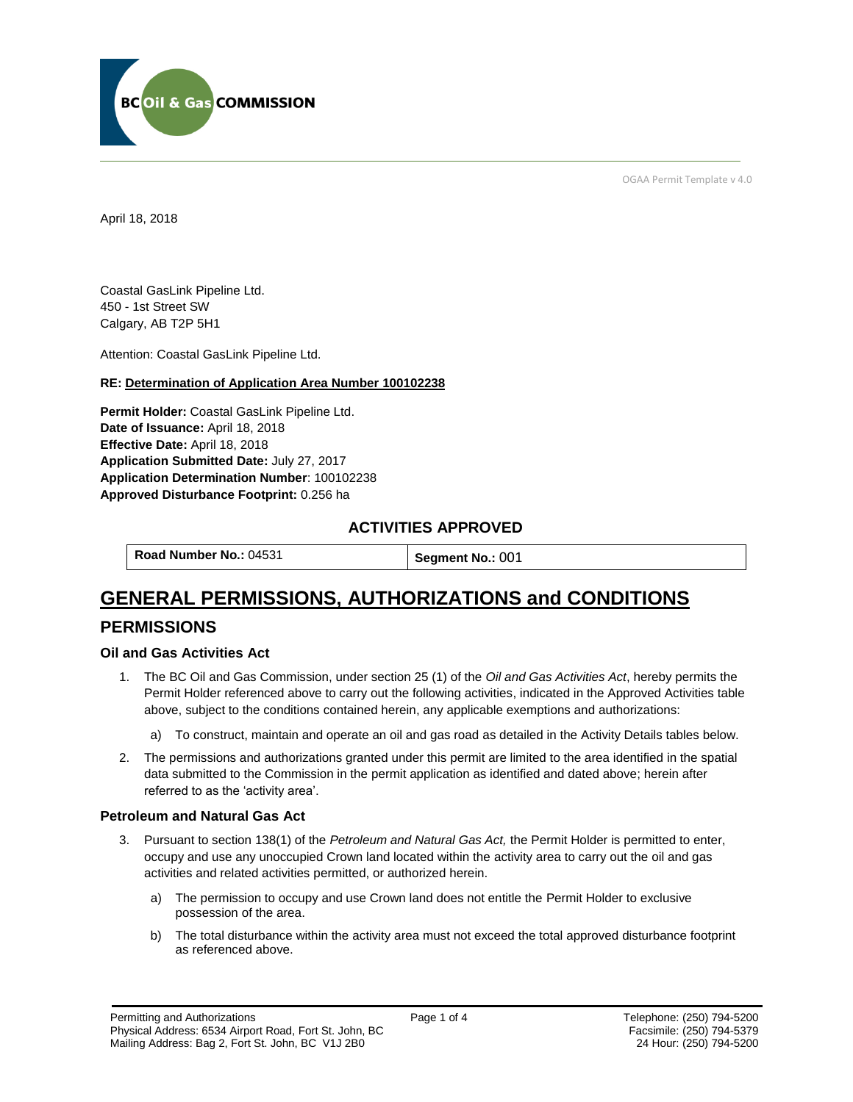

OGAA Permit Template v 4.0

April 18, 2018

Coastal GasLink Pipeline Ltd. 450 - 1st Street SW Calgary, AB T2P 5H1

[Attention:](#page-2-0) Coastal GasLink Pipeline Ltd.

#### **RE: Determination of Application Area Number 100102238**

**[Permit Holder:](#page-2-0)** Coastal GasLink Pipeline Ltd. **[Date of Issuance:](#page-2-0)** April 18, 2018 **[Effective Date:](#page-2-1)** April 18, 2018 **[Application Submitted Date:](#page-2-0)** July 27, 2017 **[Application Determination Number](#page-2-0)**: 100102238 **Approved Disturbance Footprint:** 0.256 ha

# **ACTIVITIES APPROVED**

**[Road Number No.:](#page-2-0) 04531 <b>[Segment No.:](https://bi.bcogc.ca/Application%20Processing/Interactive%20Reports/(BIL-041)%20AMS%20Decision%20Summary.aspx) 001** 

# **GENERAL PERMISSIONS, AUTHORIZATIONS and CONDITIONS**

# **PERMISSIONS**

#### **Oil and Gas Activities Act**

- <span id="page-2-0"></span>1. The BC Oil and Gas Commission, under section 25 (1) of the *Oil and Gas Activities Act*, hereby permits the Permit Holder referenced above to carry out the following activities, indicated in the Approved Activities table above, subject to the conditions contained herein, any applicable exemptions and authorizations:
	- a) To construct, maintain and operate an oil and gas road as detailed in the Activity Details tables below.
- <span id="page-2-1"></span>2. The permissions and authorizations granted under this permit are limited to the area identified in the spatial data submitted to the Commission in the permit application as identified and dated above; herein after referred to as the 'activity area'.

### **Petroleum and Natural Gas Act**

- 3. Pursuant to section 138(1) of the *Petroleum and Natural Gas Act,* the Permit Holder is permitted to enter, occupy and use any unoccupied Crown land located within the activity area to carry out the oil and gas activities and related activities permitted, or authorized herein.
	- a) The permission to occupy and use Crown land does not entitle the Permit Holder to exclusive possession of the area.
	- b) The total disturbance within the activity area must not exceed the total approved disturbance footprint as referenced above.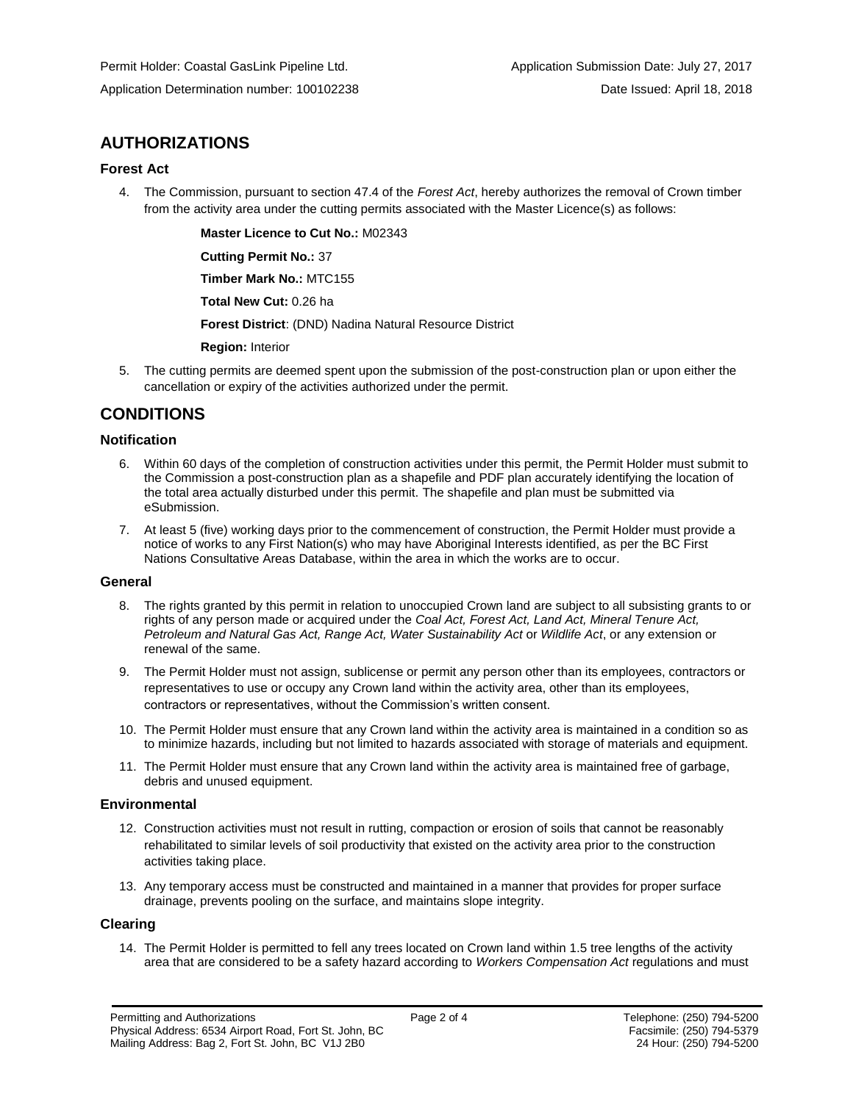# **AUTHORIZATIONS**

#### **Forest Act**

4. The Commission, pursuant to section 47.4 of the *Forest Act*, hereby authorizes the removal of Crown timber from the activity area under the cutting permits associated with the Master Licence(s) as follows:

**[Master Licence to Cut No.:](#page-2-0)** M02343

**[Cutting Permit No.:](#page-2-0)** 37

**[Timber Mark No.:](#page-2-0)** MTC155

**[Total New Cut:](#page-2-0)** 0.26 ha

**[Forest District](https://ams-crd.bcogc.ca/crd/)**: (DND) Nadina Natural Resource District

**[Region:](#page-2-1)** Interior

5. The cutting permits are deemed spent upon the submission of the post-construction plan or upon either the cancellation or expiry of the activities authorized under the permit.

# **CONDITIONS**

### **Notification**

- 6. Within 60 days of the completion of construction activities under this permit, the Permit Holder must submit to the Commission a post-construction plan as a shapefile and PDF plan accurately identifying the location of the total area actually disturbed under this permit. The shapefile and plan must be submitted via eSubmission.
- 7. At least 5 (five) working days prior to the commencement of construction, the Permit Holder must provide a notice of works to any First Nation(s) who may have Aboriginal Interests identified, as per the BC First Nations Consultative Areas Database, within the area in which the works are to occur.

#### **General**

- 8. The rights granted by this permit in relation to unoccupied Crown land are subject to all subsisting grants to or rights of any person made or acquired under the *Coal Act, Forest Act, Land Act, Mineral Tenure Act, Petroleum and Natural Gas Act, Range Act, Water Sustainability Act* or *Wildlife Act*, or any extension or renewal of the same.
- 9. The Permit Holder must not assign, sublicense or permit any person other than its employees, contractors or representatives to use or occupy any Crown land within the activity area, other than its employees, contractors or representatives, without the Commission's written consent.
- 10. The Permit Holder must ensure that any Crown land within the activity area is maintained in a condition so as to minimize hazards, including but not limited to hazards associated with storage of materials and equipment.
- 11. The Permit Holder must ensure that any Crown land within the activity area is maintained free of garbage, debris and unused equipment.

#### **Environmental**

- 12. Construction activities must not result in rutting, compaction or erosion of soils that cannot be reasonably rehabilitated to similar levels of soil productivity that existed on the activity area prior to the construction activities taking place.
- 13. Any temporary access must be constructed and maintained in a manner that provides for proper surface drainage, prevents pooling on the surface, and maintains slope integrity.

### **Clearing**

14. The Permit Holder is permitted to fell any trees located on Crown land within 1.5 tree lengths of the activity area that are considered to be a safety hazard according to *Workers Compensation Act* regulations and must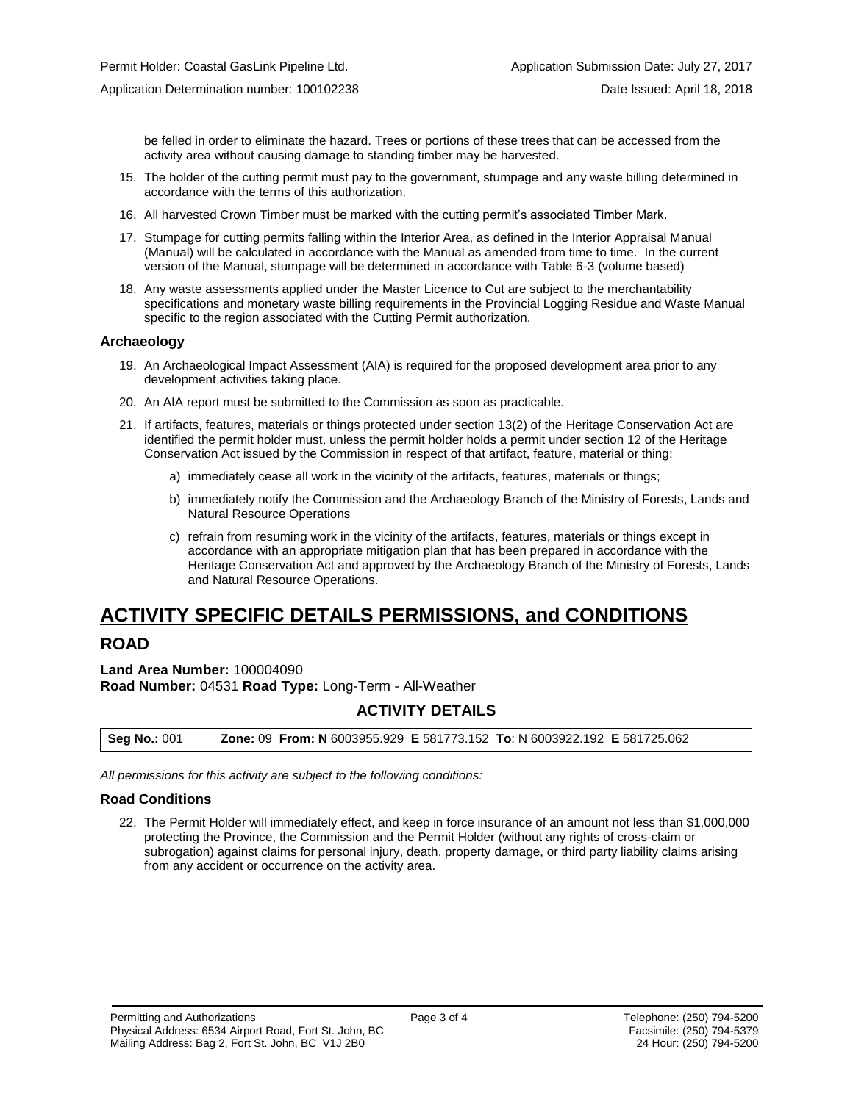be felled in order to eliminate the hazard. Trees or portions of these trees that can be accessed from the activity area without causing damage to standing timber may be harvested.

- 15. The holder of the cutting permit must pay to the government, stumpage and any waste billing determined in accordance with the terms of this authorization.
- 16. All harvested Crown Timber must be marked with the cutting permit's associated Timber Mark.
- 17. Stumpage for cutting permits falling within the Interior Area, as defined in the Interior Appraisal Manual (Manual) will be calculated in accordance with the Manual as amended from time to time. In the current version of the Manual, stumpage will be determined in accordance with Table 6-3 (volume based)
- 18. Any waste assessments applied under the Master Licence to Cut are subject to the merchantability specifications and monetary waste billing requirements in the Provincial Logging Residue and Waste Manual specific to the region associated with the Cutting Permit authorization.

#### **Archaeology**

- 19. An Archaeological Impact Assessment (AIA) is required for the proposed development area prior to any development activities taking place.
- 20. An AIA report must be submitted to the Commission as soon as practicable.
- 21. If artifacts, features, materials or things protected under section 13(2) of the Heritage Conservation Act are identified the permit holder must, unless the permit holder holds a permit under section 12 of the Heritage Conservation Act issued by the Commission in respect of that artifact, feature, material or thing:
	- a) immediately cease all work in the vicinity of the artifacts, features, materials or things;
	- b) immediately notify the Commission and the Archaeology Branch of the Ministry of Forests, Lands and Natural Resource Operations
	- c) refrain from resuming work in the vicinity of the artifacts, features, materials or things except in accordance with an appropriate mitigation plan that has been prepared in accordance with the Heritage Conservation Act and approved by the Archaeology Branch of the Ministry of Forests, Lands and Natural Resource Operations.

# **ACTIVITY SPECIFIC DETAILS PERMISSIONS, and CONDITIONS**

# **ROAD**

**Land Area Number:** 100004090 **Road Number:** 04531 **Road Type:** Long-Term - All-Weather

# **ACTIVITY DETAILS**

| <b>Seg No.: 001</b> | Zone: 09 From: N 6003955.929 E 581773.152 To: N 6003922.192 E 581725.062 |
|---------------------|--------------------------------------------------------------------------|
|---------------------|--------------------------------------------------------------------------|

*All permissions for this activity are subject to the following conditions:*

#### **Road Conditions**

22. The Permit Holder will immediately effect, and keep in force insurance of an amount not less than \$1,000,000 protecting the Province, the Commission and the Permit Holder (without any rights of cross-claim or subrogation) against claims for personal injury, death, property damage, or third party liability claims arising from any accident or occurrence on the activity area.